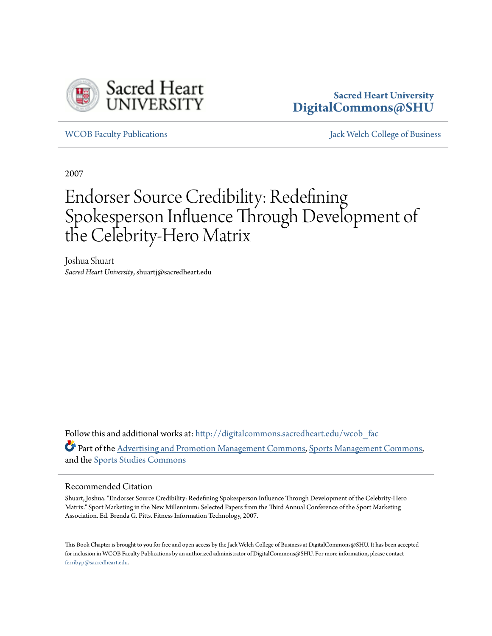

### **Sacred Heart University [DigitalCommons@SHU](http://digitalcommons.sacredheart.edu?utm_source=digitalcommons.sacredheart.edu%2Fwcob_fac%2F195&utm_medium=PDF&utm_campaign=PDFCoverPages)**

[WCOB Faculty Publications](http://digitalcommons.sacredheart.edu/wcob_fac?utm_source=digitalcommons.sacredheart.edu%2Fwcob_fac%2F195&utm_medium=PDF&utm_campaign=PDFCoverPages) [Jack Welch College of Business](http://digitalcommons.sacredheart.edu/wcob?utm_source=digitalcommons.sacredheart.edu%2Fwcob_fac%2F195&utm_medium=PDF&utm_campaign=PDFCoverPages)

2007

# Endorser Source Credibility: Redefining Spokesperson Influence Through Development of the Celebrity-Hero Matrix

Joshua Shuart *Sacred Heart University*, shuartj@sacredheart.edu

Follow this and additional works at: [http://digitalcommons.sacredheart.edu/wcob\\_fac](http://digitalcommons.sacredheart.edu/wcob_fac?utm_source=digitalcommons.sacredheart.edu%2Fwcob_fac%2F195&utm_medium=PDF&utm_campaign=PDFCoverPages) Part of the [Advertising and Promotion Management Commons,](http://network.bepress.com/hgg/discipline/626?utm_source=digitalcommons.sacredheart.edu%2Fwcob_fac%2F195&utm_medium=PDF&utm_campaign=PDFCoverPages) [Sports Management Commons,](http://network.bepress.com/hgg/discipline/1193?utm_source=digitalcommons.sacredheart.edu%2Fwcob_fac%2F195&utm_medium=PDF&utm_campaign=PDFCoverPages) and the [Sports Studies Commons](http://network.bepress.com/hgg/discipline/1198?utm_source=digitalcommons.sacredheart.edu%2Fwcob_fac%2F195&utm_medium=PDF&utm_campaign=PDFCoverPages)

#### Recommended Citation

Shuart, Joshua. "Endorser Source Credibility: Redefining Spokesperson Influence Through Development of the Celebrity-Hero Matrix." Sport Marketing in the New Millennium: Selected Papers from the Third Annual Conference of the Sport Marketing Association. Ed. Brenda G. Pitts. Fitness Information Technology, 2007.

This Book Chapter is brought to you for free and open access by the Jack Welch College of Business at DigitalCommons@SHU. It has been accepted for inclusion in WCOB Faculty Publications by an authorized administrator of DigitalCommons@SHU. For more information, please contact [ferribyp@sacredheart.edu](mailto:ferribyp@sacredheart.edu).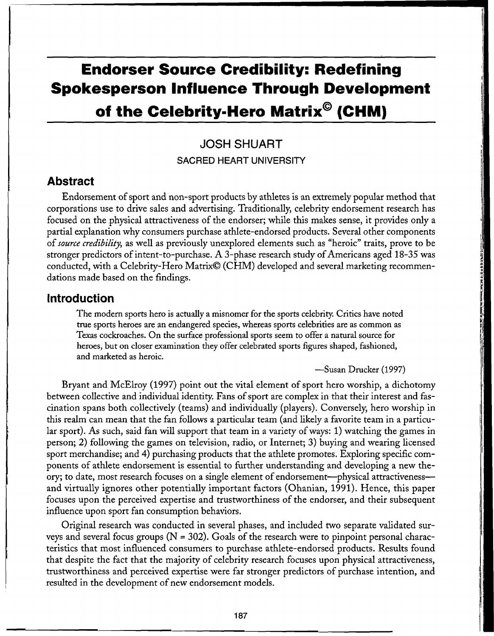# **Endorser Source Credibility: Redefining Spokesperson Influence Through Development**

## **o f th e Celebrity-Her o Matrix ® (CHM )**

## **JOSH SHUART**

#### SACRED HEART UNIVERSITY

#### **Abstract**

Endorsement of sport and non-sport products by athletes is an extremely popular method tha t corporations use to drive sales and advertising. Traditionally, celebrity endorsement research has focused on the physical attractiveness of the endorser; while this makes sense, it provides only a partial explanation why consumers purchase athlete-endorsed products. Several other components of *source credibility,* as well as previously unexplored elements such as "heroic" traits, prove to be stronger predictors of intent-to-purchase. A 3-phase research study of Americans aged 18-35 was conducted, with a Celebrity-Hero Matrix© (CHM ) developed and several marketing recommendations made based on the findings.

#### **Introductio n**

The modern sports hero is actually a misnomer for the sports celebrity. Critics have noted true sports heroes are an endangered species, whereas sports celebrities are as common as Texas cockroaches. On the surface professional sports seem to offer a natural source for heroes, but on closer examination they offer celebrated sports figures shaped, fashioned, and marketed as heroic.

—Susan Drucker (1997)

Bryant and McElroy (1997) point out the vital element of sport hero worship, a dichotomy between collective and individual identity. Fans of sport are complex in that their interest and fascination spans both collectively (teams) and individually (players). Conversely, hero worship in this realm can mean that the fan follows a particular team (and likely a favorite team in a particular sport). As such, said fan will support that team in a variety of ways: 1) watching the games in person; 2) following the games on television, radio, or Internet; 3) buying and wearing licensed sport merchandise; and 4) purchasing products that the athlete promotes. Exploring specific components of athlete endorsement is essential to further understanding and developing a new the ory; to date, most research focuses on a single element of endorsement—physical attractiveness and virtually ignores other potentially important factors (Ohanian, 1991). Hence, this paper focuses upon the perceived expertise and trustworthiness of the endorser, and their subsequent influence upon sport fan consumption behaviors.

Original research was conducted in several phases, and included two separate validated surveys and several focus groups ( $N = 302$ ). Goals of the research were to pinpoint personal characteristics that most influenced consumers to purchase athlete-endorsed products. Results found that despite the fact that the majority of celebrity research focuses upon physical attractiveness, trustworthiness and perceived expertise were far stronger predictors of purchase intention, and resulted in the development of new endorsement models.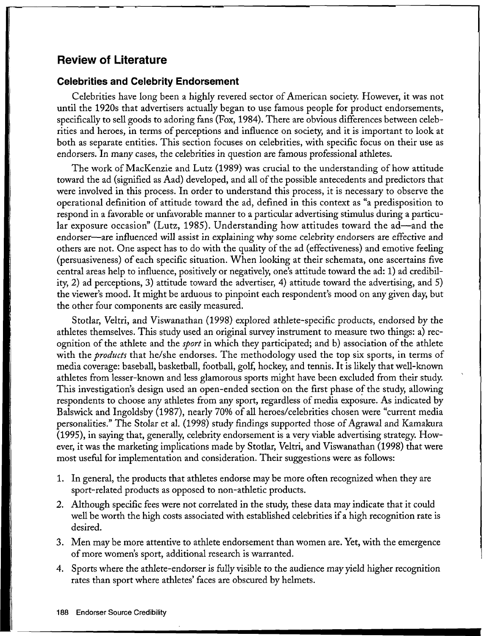## **Review of Literature**

#### **Celebrities and Celebrity Endorsement**

Celebrities have long been a highly revered sector of American society. However, it was not until the 1920s that advertisers actually began to use famous people for product endorsements, specifically to sell goods to adoring fans (Fox, 1984). There are obvious differences between celebrities and heroes, in terms of perceptions and influence on society, and it is important to look at both as separate entities. This section focuses on celebrities, with specific focus on their use as endorsers. In many cases, the celebrities in question are famous professional athletes.

The work of MacKenzie and Lutz (1989) was crucial to the understanding of how attitude toward the ad (signified as Aad) developed, and all of the possible antecedents and predictors that were involved in this process. In order to understand this process, it is necessary to observe the operational definition of attitude toward the ad, defined in this context as "a predisposition to respond in a favorable or unfavorable manner to a particular advertising stimulus during a particular exposure occasion" (Lutz, 1985). Understanding how attitudes toward the ad—and the endorser—are influenced will assist in explaining why some celebrity endorsers are effective and others are not. One aspect has to do with the quality of the ad (effectiveness) and emotive feeling (persuasiveness) of each specific situation. When looking at their schemata, one ascertains five central areas help to influence, positively or negatively, one's attitude toward the ad: 1) ad credibility, 2) ad perceptions, 3) attitude toward the advertiser, 4) attitude toward the advertising, and 5) the viewer's mood. It might be arduous to pinpoint each respondent's mood on any given day, but the other four components are easily measured.

Stotlar, Veltri, and Viswanathan (1998) explored athlete-specific products, endorsed by the athletes themselves. This study used an original survey instrument to measure two things: a) recognition of the athlete and the *sport* in which they participated; and b) association of the athlete with the *products* that he/she endorses. The methodology used the top six sports, in terms of media coverage: baseball, basketball, football, golf, hockey, and tennis. It is likely that well-known athletes from lesser-known and less glamorous sports might have been excluded from their study. This investigation's design used an open-ended section on the first phase of the study, allowing respondents to choose any athletes from any sport, regardless of media exposure. As indicated by Balswick and Ingoldsby (1987), nearly 70% of all heroes/celebrities chosen were "current media personalities." The Stolar et al. (1998) study findings supported those of Agrawal and Kamakura (1995), in saying that, generally, celebrity endorsement is a very viable advertising strategy. How ever, it was the marketing implications made by Stotlar, Veltri, and Viswanathan (1998) that were most useful for implementation and consideration. Their suggestions were as follows:

- 1. In general, the products that athletes endorse may be more often recognized when they are sport-related products as opposed to non-athletic products.
- 2. Although specific fees were not correlated in the study, these data may indicate that it could well be worth the high costs associated with established celebrities if a high recognition rate is desired.
- 3. Men may be more attentive to athlete endorsement than women are. Yet, with the emergence of more women's sport, additional research is warranted.
- 4. Sports where the athlete-endorser is fully visible to the audience may yield higher recognition rates than sport where athletes' faces are obscured by helmets.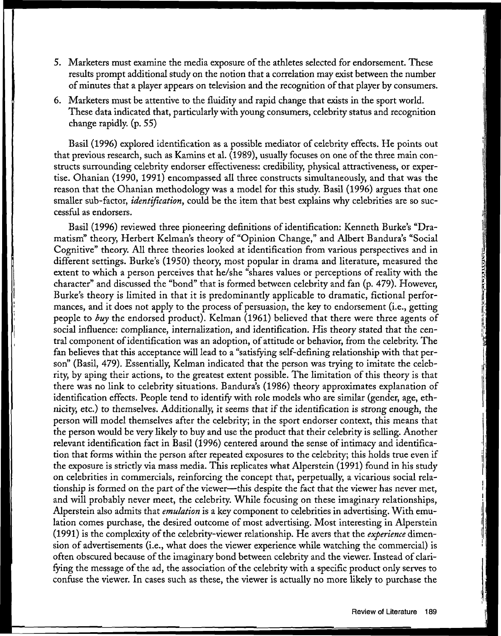- 5. Marketers must examine the media exposure of the athletes selected for endorsement. These results prompt additional study on the notion that a correlation may exist between the number of minutes that a player appears on television and the recognition of that player by consumers.
- 6. Marketers must be attentive to the fluidity and rapid change that exists in the sport world. These data indicated that, particularly with young consumers, celebrity status and recognition change rapidly, (p. 55)

Basil (1996) explored identification as a possible mediator of celebrity effects. He points out that previous research, such as Kamins et al. (1989), usually focuses on one of the three main constructs surrounding celebrity endorser effectiveness: credibility, physical attractiveness, or expertise. Ohanian (1990, 1991) encompassed all three constructs simultaneously, and that was the reason that the Ohanian methodology was a model for this study. Basil (1996) argues that one smaller sub-factor, *identification*, could be the item that best explains why celebrities are so successful as endorsers.

Basil (1996) reviewed three pioneering definitions of identification: Kenneth Burke's "Dramatism" theory, Herbert Kelman's theory of "Opinion Change, " and Albert Bandura's "Social Cognitive" theory. All three theories looked at identification from various perspectives and in different settings. Burke's (1950) theory, most popular in drama and literature, measured the extent to which a person perceives that he/she "shares values or perceptions of reality with the character" and discussed the "bond" that is formed between celebrity and fan (p. 479). However, Burke's theory is limited in that it is predominantly applicable to dramatic, fictional performances, and it does not apply to the process of persuasion, the key to endorsement (i.e., getting people to *buy* the endorsed product). Kelman (1961) believed that there were three agents of social influence: compliance, internalization, and identification. His theory stated that the central component of identification was an adoption, of attitude or behavior, from the celebrity. The fan believes that this acceptance will lead to a "satisfying self-defining relationship with that person" (Basil, 479). Essentially, Kelman indicated that the person was trying to imitate the celebrity, by aping their actions, to the greatest extent possible. The limitation of this theory is that there was no link to celebrity situations. Bandura's (1986) theory approximates explanation of identification effects. People tend to identify with role models who are similar (gender, age, ethnicity, etc.) to themselves. Additionally, it seems that if the identification is strong enough, the person will model themselves after the celebrity; in the sport endorser context, this means that the person would be very likely to buy and use the product that their celebrity is selling. Another relevant identification fact in Basil (1996) centered around the sense of intimacy and identification that forms within the person after repeated exposures to the celebrity; this holds true even if the exposure is strictly via mass media. This replicates what Alperstein (1991) found in his study on celebrities in commercials, reinforcing the concept that, perpetually, a vicarious social relationship is formed on the part of the viewer—this despite the fact that the viewer has never met, and will probably never meet, the celebrity. While focusing on these imaginary relationships, Alperstein also admits that *emulation* is a key component to celebrities in advertising. With emulation comes purchase, the desired outcome of most advertising. Most interesting in Alperstein (1991) is the complexity of the celebrity-viewer relationship. He avers that the *experience* dimension of advertisements (i.e., what does the viewer experience while watching the commercial) is often obscured because of the imaginary bond between celebrity and the viewer. Instead of clarifying the message of the ad, the association of the celebrity with a specific product only serves to confuse the viewer. In cases such as these, the viewer is actually no more likely to purchase the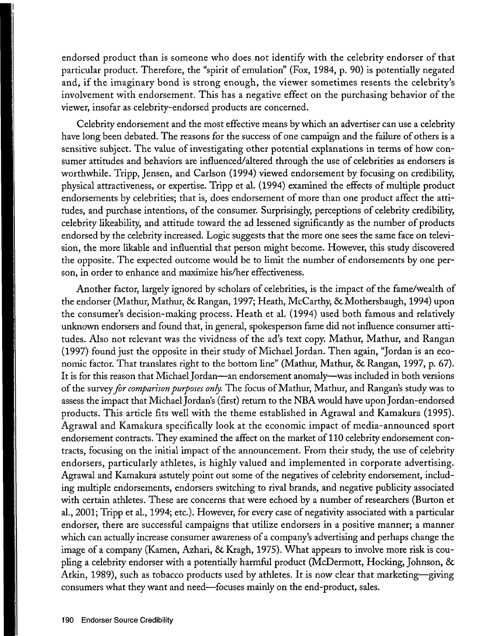endorsed product than is someone who does not identify with the celebrity endorser of that particular product. Therefore, the "spirit of emulation" (Fox, 1984, p. 90) is potentially negated and, if the imaginary bond is strong enough, the viewer sometimes resents the celebrity's involvement with endorsement. This has a negative effect on the purchasing behavior of the viewer, insofar as celebrity-endorsed products are concerned.

Celebrity endorsement and the most effective means by which an advertiser can use a celebrity have long been debated. The reasons for the success of one campaign and the failure of others is a sensitive subject. The value of investigating other potential explanations in terms of how consumer attitudes and behaviors are influenced/altered through the use of celebrities as endorsers is worthwhile. Tripp, Jensen, and Carlson (1994) viewed endorsement by focusing on credibility, physical attractiveness, or expertise. Tripp et al. (1994) examined the effects of multiple product endorsements by celebrities; that is, does endorsement of more than one product affect the attitudes, and purchase intentions, of the consumer. Surprisingly, perceptions of celebrity credibility, celebrity likeability, and attitude toward the ad lessened significantly as the number of products endorsed by the celebrity increased. Logic suggests that the more one sees the same face on television, the more likable and influential that person might become. However, this study discovered the opposite. The expected outcome would be to limit the number of endorsements by one person, in order to enhance and maximize his/her effectiveness.

Another factor, largely ignored by scholars of celebrities, is the impact of the fame/wealth of the endorser (Mathur, Mathur, & Rangan, 1997; Heath, McCarthy, & Mothersbaugh, 1994) upon the consumer's decision-making process. Heath et al. (1994) used both famous and relatively unknown endorsers and found that, in general, spokesperson fame did not influence consumer attitudes. Also not relevant was the vividness of the ad's text copy. Mathur, Mathur, and Rangan (1997) found just the opposite in their study of Michael Jordan. Then again, "Jordan is an economic factor. That translates right to the bottom line" (Mathur, Mathur, & Rangan, 1997, p. 67). It is for this reason that Michael Jordan—an endorsement anomaly—was included in both versions of the survey *for comparison purposes only*. The focus of Mathur, Mathur, and Rangan's study was to assess the impact that Michael Jordan's (first) return to the NBA would have upon Jordan-endorsed products. This article fits well with the theme established in Agrawal and Kamakura (1995). Agrawal and Kamakura specifically look at the economic impact of media-announced sport endorsement contracts. They examined the affect on the market of 110 celebrity endorsement contracts, focusing on the initial impact of the announcement. From their study, the use of celebrity endorsers, particularly athletes, is highly valued and implemented in corporate advertising. Agrawal and Kamakura astutely point out some of the negatives of celebrity endorsement, including multiple endorsements, endorsers switching to rival brands, and negative publicity associated with certain athletes. These are concerns that were echoed by a number of researchers (Burton et al., 2001; Tripp et al., 1994; etc.). However, for every case of negativity associated with a particular endorser, there are successful campaigns that utilize endorsers in a positive manner; a manner which can actually increase consumer awareness of a company's advertising and perhaps change the image of a company (Kamen, Azhari, & Kragh, 1975). What appears to involve more risk is coupling a celebrity endorser with a potentially harmful product (McDermott, Hocking, Johnson, 8c Atkin, 1989), such as tobacco products used by athletes. It is now clear that marketing—giving consumers what they want and need—focuses mainly on the end-product, sales.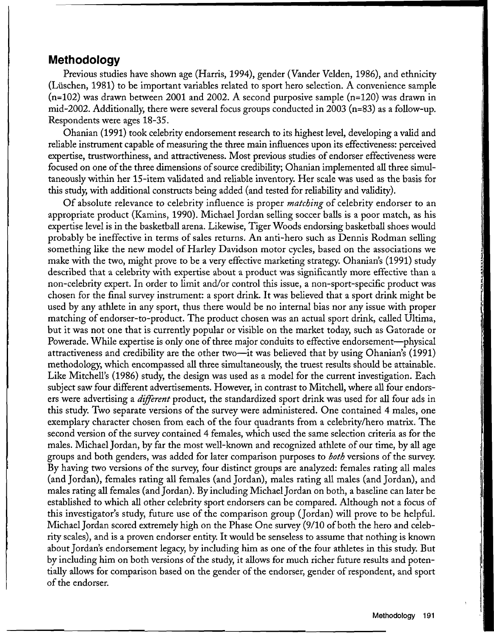### **Methodolog y**

Previous studies have shown age (Harris, 1994), gender (Vander Velden, 1986), and ethnicity (Liischen, 1981) to be important variables related to sport hero selection. A convenience sample (n=102) was drawn between 2001 and 2002. A second purposive sample (n=120) was drawn in mid-2002. Additionally, there were several focus groups conducted in 2003 (n=83) as a follow-up. Respondents were ages 18-35.

Ohanian (1991) took celebrity endorsement research to its highest level, developing a valid and reliable instrument capable of measuring the three main influences upon its effectiveness: perceived expertise, trustworthiness, and attractiveness. Most previous studies of endorser effectiveness were focused on one of the three dimensions of source credibility; Ohanian implemented all three simultaneously within her 15-item validated and reliable inventory. Her scale was used as the basis for this study, with additional constructs being added (and tested for reliability and validity).

Of absolute relevance to celebrity influence is proper *matching* of celebrity endorser to an appropriate product (Kamins, 1990). Michael Jordan selling soccer balls is a poor match, as his expertise level is in the basketball arena. Likewise, Tiger Woods endorsing basketball shoes would probably be ineffective in terms of sales returns. An anti-hero such as Dennis Rodman selling something like the new model of Harley Davidson motor cycles, based on the associations we make with the two, might prove to be a very effective marketing strategy. Ohanian's (1991) study described that a celebrity with expertise about a product was significantly more effective than a non-celebrity expert. In order to limit and/or control this issue, a non-sport-specific product was chosen for the final survey instrument: a sport drink. It was believed that a sport drink might be used by any athlete in any sport, thus there would be no internal bias nor any issue with proper matching of endorser-to-product. The product chosen was an actual sport drink, called Ultima, but it was not one that is currently popular or visible on the market today, such as Gatorade or Powerade. While expertise is only one of three major conduits to effective endorsement—physical attractiveness and credibility are the other two—it was believed that by using Ohanian's (1991) methodology, which encompassed all three simultaneously, the truest results should be attainable. Like Mitchell's (1986) study, the design was used as a model for the current investigation. Each subject saw four different advertisements. However, in contrast to Mitchell, where all four endorsers were advertising a *different* product, the standardized sport drink was used for all four ads in this study. Two separate versions of the survey were administered. One contained 4 males, one exemplary character chosen from each of the four quadrants from a celebrity/hero matrix. The second version of the survey contained 4 females, which used the same selection criteria as for the males. Michael Jordan, by far the most well-known and recognized athlete of our time, by all age groups and both genders, was added for later comparison purposes to *both* versions of the survey. By having two versions of the survey, four distinct groups are analyzed: females rating all males (and Jordan), females rating all females (and Jordan), males rating all males (and Jordan), and males rating all females (and Jordan). By including Michael Jordan on both, a baseline can later be established to which all other celebrity sport endorsers can be compared. Although not a focus of this investigator's study, future use of the comparison group (Jordan) will prove to be helpful. Michael Jordan scored extremely high on the Phase One survey (9/10 of both the hero and celebrity scales), and is a proven endorser entity. It would be senseless to assume that nothing is known about Jordan's endorsement legacy, by including him as one of the four athletes in this study. But by including him on both versions of the study, it allows for much richer future results and potentially allows for comparison based on the gender of the endorser, gender of respondent, and sport of the endorser.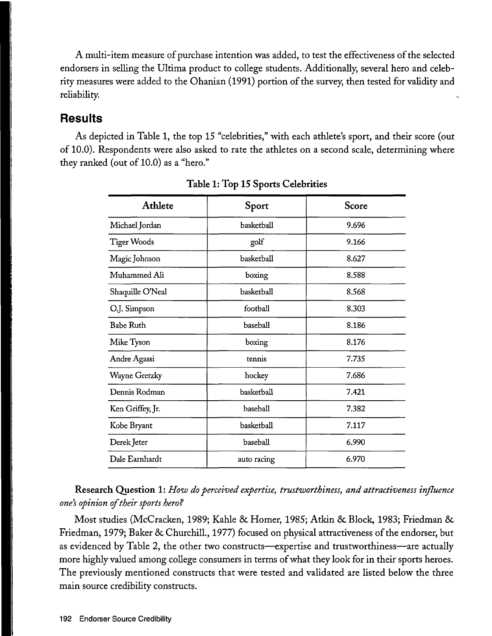A multi-item measure of purchase intention was added, to test the effectiveness of the selected endorsers in selling the Ultima product to college students. Additionally, several hero and celebrity measures were added to the Ohanian (1991) portion of the survey, then tested for validity and reliability.

## **Result s**

As depicted in Table 1, the top 15 "celebrities," with each athlete's sport, and their score (out of 10.0). Respondents were also asked to rate the athletes on a second scale, determining where they ranked (out of 10.0) as a "hero."

| Athlete            | Sport       | Score |
|--------------------|-------------|-------|
| Michael Jordan     | basketball  | 9.696 |
| <b>Tiger Woods</b> | golf        | 9.166 |
| Magic Johnson      | basketball  | 8.627 |
| Muhammed Ali       | boxing      | 8.588 |
| Shaquille O'Neal   | basketball  | 8.568 |
| O.J. Simpson       | football    | 8.303 |
| <b>Babe Ruth</b>   | baseball    | 8.186 |
| Mike Tyson         | boxing      | 8.176 |
| Andre Agassi       | tennis      | 7.735 |
| Wayne Gretzky      | hockey      | 7.686 |
| Dennis Rodman      | basketball  | 7.421 |
| Ken Griffey, Jr.   | baseball    | 7.382 |
| Kobe Bryant        | basketball  | 7.117 |
| Derek Jeter        | baseball    | 6.990 |
| Dale Earnhardt     | auto racing | 6.970 |

**Table 1: Top 15 Sports Celebrities** 

**Research Question 1:** *How do perceived expertise, trustworthiness, and attractiveness influence one's opinion of their sports hero?* 

Most studies (McCracken, 1989; Kahle 8c Homer, 1985; Atkin 8c Block, 1983; Friedman 8c Friedman, 1979; Baker 8c Churchill., 1977) focused on physical attractiveness of the endorser, but as evidenced by Table 2, the other two constructs—expertise and trustworthiness—are actually more highly valued among college consumers in terms of what they look for in their sports heroes. The previously mentioned constructs that were tested and validated are listed below the three main source credibility constructs.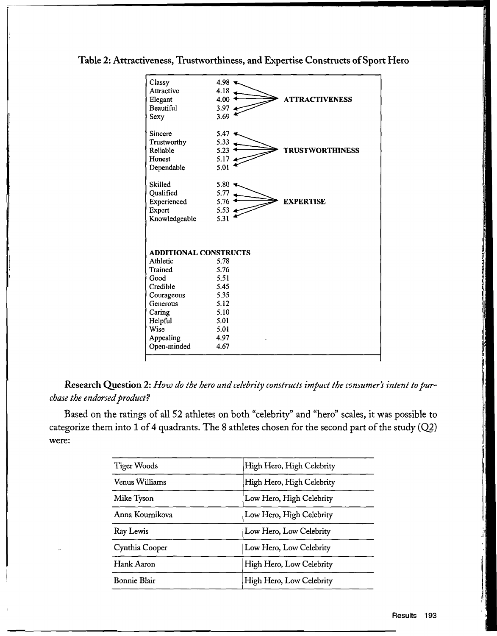#### Table 2: Attractiveness, Trustworthiness, and Expertise Constructs of Sport Hero

| Classy<br>Attractive<br>Elegant<br><b>Beautiful</b><br>Sexy    | 4.98<br>4.18<br>4.00<br><b>ATTRACTIVENESS</b><br>3.97.4<br>3.69 |  |
|----------------------------------------------------------------|-----------------------------------------------------------------|--|
| Sincere<br>Trustworthy<br>Reliable<br>Honest<br>Dependable     | 5.47<br>5.33<br>5.23<br><b>TRUSTWORTHINESS</b><br>5.17<br>5.01  |  |
| Skilled<br>Qualified<br>Experienced<br>Expert<br>Knowledgeable | 5.80<br>5.77<br>5.76<br><b>EXPERTISE</b><br>5.53<br>5.31        |  |
| <b>ADDITIONAL CONSTRUCTS</b>                                   |                                                                 |  |
| Athletic                                                       | 5.78                                                            |  |
| Trained                                                        | 5.76                                                            |  |
| Good                                                           | 5.51                                                            |  |
| Credible                                                       | 5.45                                                            |  |
| Courageous                                                     | 5.35                                                            |  |
| Generous                                                       | 5.12                                                            |  |
| Caring                                                         | 5.10                                                            |  |
| Helpful                                                        | 5.01                                                            |  |
| Wise                                                           | 5.01                                                            |  |
| Appealing                                                      | 4.97                                                            |  |
| Open-minded                                                    | 4.67                                                            |  |
|                                                                |                                                                 |  |

Research Question 2: How do the hero and celebrity constructs impact the consumer's intent to pur*chase the endorsed product?* 

Based on the ratings of all 52 athletes on both "celebrity" and "hero" scales, it was possible to categorize them into 1 of 4 quadrants. The 8 athletes chosen for the second part of the study  $(Q2)$ were:

| High Hero, High Celebrity |  |
|---------------------------|--|
| High Hero, High Celebrity |  |
| Low Hero, High Celebrity  |  |
| Low Hero, High Celebrity  |  |
| Low Hero, Low Celebrity   |  |
| Low Hero, Low Celebrity   |  |
| High Hero, Low Celebrity  |  |
| High Hero, Low Celebrity  |  |
|                           |  |

 $\overline{\phantom{a}}$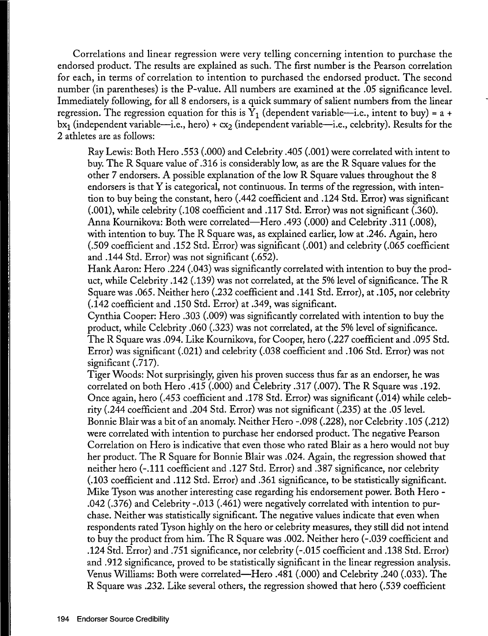Correlations and linear regression were very telling concerning intention to purchase the endorsed product. The results are explained as such. The first number is the Pearson correlation for each, in terms of correlation to intention to purchased the endorsed product. The second number (in parentheses) is the P-value. All numbers are examined at the .05 significance level. Immediately following, for all 8 endorsers, is a quick summary of salient numbers from the linear regression. The regression equation for this is  $Y_1$  (dependent variable—i.e., intent to buy) = a + bx<sub>1</sub> (independent variable—i.e., hero) + cx<sub>2</sub> (independent variable—i.e., celebrity). Results for the 2 athletes are as follows:

Ray Lewis: Both Hero .553 (.000) and Celebrity .405 (.001) were correlated with intent to buy. The R Square value of .316 is considerably low, as are the R Square values for the other 7 endorsers. A possible explanation of the low R Square values throughout the 8 endorsers is that Y is categorical, not continuous. In terms of the regression, with intention to buy being the constant, hero (.442 coefficient and .124 Std. Error) was significant (.001), while celebrity (.108 coefficient and .117 Std. Error) was not significant (.360). Anna Kournikova: Both were correlated—Hero .493 (.000) and Celebrity .311 (.008), with intention to buy. The R Square was, as explained earlier, low at .246. Again, hero (.509 coefficient and .152 Std. Error) was significant (.001) and celebrity (.065 coefficient and .144 Std. Error) was not significant (.652).

Hank Aaron: Hero .224 (.043) was significantly correlated with intention to buy the product, while Celebrity .142 (.139) was not correlated, at the 5% level of significance. The R Square was .065. Neither hero (.232 coefficient and .141 Std. Error), at .105, nor celebrity (.142 coefficient and .150 Std. Error) at .349, was significant.

Cynthia Cooper: Hero .303 (.009) was significantly correlated with intention to buy the product, while Celebrity .060 (.323) was not correlated, at the 5% level of significance. The R Square was .094. Like Kournikova, for Cooper, hero (.227 coefficient and .095 Std. Error) was significant (.021) and celebrity (.038 coefficient and .106 Std. Error) was not significant (.717).

Tiger Woods: Not surprisingly, given his proven success thus far as an endorser, he was correlated on both Hero  $.415$   $(.000)$  and Celebrity  $.317$   $(.007)$ . The R Square was  $.192$ . Onc e again, hero (.453 coefficient and .178 Std. Error) was significant (.014) while celebrity (.244 coefficient and .204 Std. Error) was not significant (.235) at the .05 level. Bonnie Blair was a bit of an anomaly. Neither Hero -.098 (.228), nor Celebrity .105 (.212) were correlated with intention to purchase her endorsed product. The negative Pearson Correlation on Hero is indicative that even those who rated Blair as a hero would not buy her product. The R Square for Bonnie Blair was .024. Again, the regression showed that neither hero (-.111 coefficient and .127 Std. Error) and .387 significance, nor celebrity (.103 coefficient and .112 Std. Error) and .361 significance, to be statistically significant. Mike Tyson was another interesting case regarding his endorsement power. Both Hero -.042 (.376) and Celebrity -.013 (.461) were negatively correlated with intention to purchase. Neither was statistically significant. The negative values indicate that even when respondents rated Tyson highly on the hero or celebrity measures, they still did not intend to buy the product from him. The R Square was .002. Neither hero (-.039 coefficient and .124 Std. Error) and .751 significance, nor celebrity (-.015 coefficient and .138 Std. Error) and .912 significance, proved to be statistically significant in the linear regression analysis. Venus Williams: Both were correlated—Hero .481 (.000) and Celebrity .240 (.033). The R Square was .232. Like several others, the regression showed that hero (.539 coefficient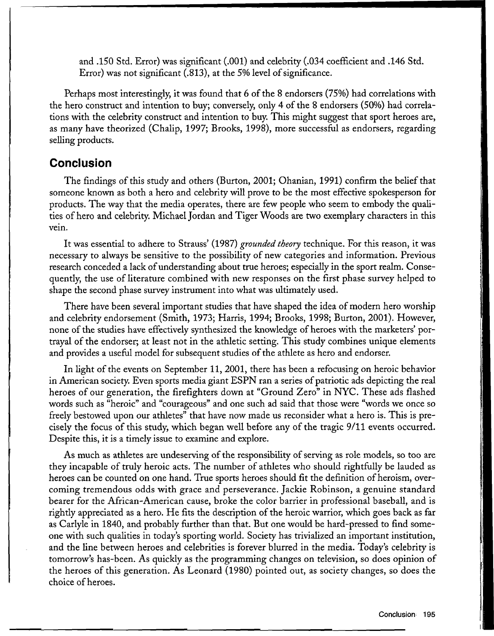and .150 Std. Error) was significant (.001) and celebrity (.034 coefficient and .146 Std. Error) was not significant (.813), at the 5% level of significance.

Perhaps most interestingly, it was found that 6 of the 8 endorsers *(75%)* had correlations with the hero construct and intention to buy; conversely, only 4 of the 8 endorsers (50%) had correlations with the celebrity construct and intention to buy. This might suggest that sport heroes are, as many have theorized (Chalip, 1997; Brooks, 1998), more successful as endorsers, regarding selling products.

## **Conclusio n**

The findings of this study and others (Burton, 2001; Ohanian, 1991) confirm the belief that someone known as both a hero and celebrity will prove to be the most effective spokesperson for products. The way that the media operates, there are few people who seem to embody the qualities of hero and celebrity. Michael Jordan and Tiger Woods are two exemplary characters in this vein.

It was essential to adhere to Strauss' (1987) *grounded theory* technique. For this reason, it was necessary to always be sensitive to the possibility of new categories and information. Previous research conceded a lack of understanding about true heroes; especially in the sport realm. Consequently, the use of literature combined with new responses on the first phase survey helped to shape the second phase survey instrument into what was ultimately used.

There have been several important studies that have shaped the idea of modern hero worship and celebrity endorsement (Smith, 1973; Harris, 1994; Brooks, 1998; Burton, 2001). However, none of the studies have effectively synthesized the knowledge of heroes with the marketers' portrayal of the endorser; at least not in the athletic setting. This study combines unique elements and provides a useful model for subsequent studies of the athlete as hero and endorser.

In light of the events on September 11, 2001, there has been a refocusing on heroic behavior in American society. Even sports media giant ESPN ran a series of patriotic ads depicting the real heroes of our generation, the firefighters down at "Ground Zero" in NYC. These ads flashed words such as "heroic" and "courageous" and one such ad said that those were "words we once so freely bestowed upon our athletes" that have now made us reconsider what a hero is. This is precisely the focus of this study, which began well before any of the tragic 9/11 events occurred. Despite this, it is a timely issue to examine and explore.

As much as athletes are undeserving of the responsibility of serving as role models, so too are they incapable of truly heroic acts. The number of athletes who should rightfully be lauded as heroes can be counted on one hand. True sports heroes should fit the definition of heroism, overcoming tremendous odds with grace and perseverance. Jackie Robinson, a genuine standard bearer for the African-American cause, broke the color barrier in professional baseball, and is rightly appreciated as a hero. He fits the description of the heroic warrior, which goes back as far as Carlyle in 1840, and probably further than that. But one would be hard-pressed to find someone with such qualities in today's sporting world. Society has trivialized an important institution, and the line between heroes and celebrities is forever blurred in the media. Today's celebrity is tomorrow's has-been. As quickly as the programming changes on television, so does opinion of the heroes of this generation. As Leonard (1980) pointed out, as society changes, so does the choice of heroes.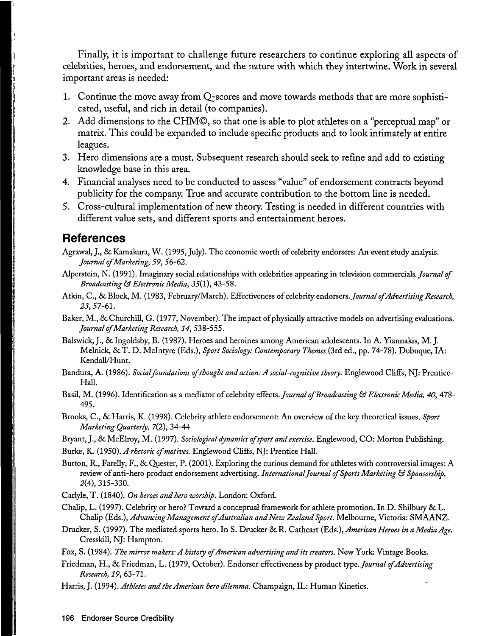Finally, it is important to challenge future researchers to continue exploring all aspects of celebrities, heroes, and endorsement, and the nature with which they intertwine. Work in several important areas is needed:

- 1. Continue the move away from Q-scores and move towards methods that are more sophisticated, useful, and rich in detail (to companies).
- 2. Add dimensions to the CHM©, so that one is able to plot athletes on a "perceptual map" or matrix. This could be expanded to include specific products and to look intimately at entire leagues.
- 3. Hero dimensions are a must. Subsequent research should seek to refine and add to existing knowledge base in this area.
- 4. Financial analyses need to be conducted to assess "value" of endorsement contracts beyond publicity for the company. True and accurate contribution to the bottom line is needed.
- 5. Cross-cultural implementation of new theory. Testing is needed in different countries with different value sets, and different sports and entertainment heroes.

#### **Reference s**

- Agrawal, J., 8c Kamakura, W. (1995, July). The economic worth of celebrity endorsers: An event study analysis. *Journal of Marketing, 59,* 56-62.
- Alperstein, N. (1991). Imaginary social relationships with celebrities appearing in television commercials. *Journal of Broadcasting & Electronic Media, 35(1),* 43-58.
- Atkin, C, Sc Block, M. (1983, February/March). Effectiveness of celebrity endorsers. *Journal of Advertising Research, 23,* 57-61.
- Baker, M., 8c Churchill, G. (1977, November). The impact of physically attractive models on advertising evaluations. *Journal of Marketing Research, 14,* 538-555.
- Balswick, J., & Ingoldsby, B. (1987). Heroes and heroines among American adolescents. In A. Yiannakis, M. J. Melnick, 8cT. D. Mclntyre (Eds.), *Sport Sociology: Contemporary Themes* (3rd ed., pp. 74-78). Dubuque, IA: Kendall/Hunt.
- Bandura, A. (1986). *Social foundations of thought and action: A social-cognitive theory.* Englewood Cliffs, NJ: Prentice-Hall.
- Basil, M. (1996). Identification as a mediator of celebrity effects. *Journal of 'Broadcasting & Electronic Media, 40,* 478- 495.
- Brooks, C, 8c Harris, K. (1998). Celebrity athlete endorsement: An overview of the key theoretical issues. *Sport Marketing Quarterly, 7(2),* 34-44
- Bryant, J., 8cMcElroy, M. (1997). *Sociological dynamics of sport and exercise.* Englewood, CO: Morton Publishing.
- Burke, K. (1950). *A rhetoric of motives.* Englewood Cliffs, NJ: Prentice Hall.
- Burton, R., Farelly, F., 8c Quester, P. (2001). Exploring the curious demand for athletes with controversial images: A review of anti-hero product endorsement advertising. *International Journal of Sports Marketing & Sponsorship, 2(4),* 315-330.
- Carlyle, T. (1840). *On heroes and hero worship.* London: Oxford.
- Chalip, L. (1997). Celebrity or hero? Toward a conceptual framework for athlete promotion. In D. Shilbury 8c L. Chalip (Eds.), *Advancing Management of Australian and New Zealand Sport.* Melbourne, Victoria: SMAANZ.
- Drucker, S. (1997). The mediated sports hero. In S. Drucker 8cR. Cathcart (Eds.), *American Heroes in a Media Age.*  Cresskill, NJ: Hampton.
- Fox, S. (1984). *The mirror makers: A history of American advertising and its creators.* New York: Vintage Books.
- Friedman, H., 8c Friedman, L. (1979, October). Endorser effectiveness byproduct type. *JournalofAdvertising Research, 19,* 63-71.
- Harris, J. (1994). *Athletes and the American hero dilemma.* Champaign, IL: Human Kinetics.